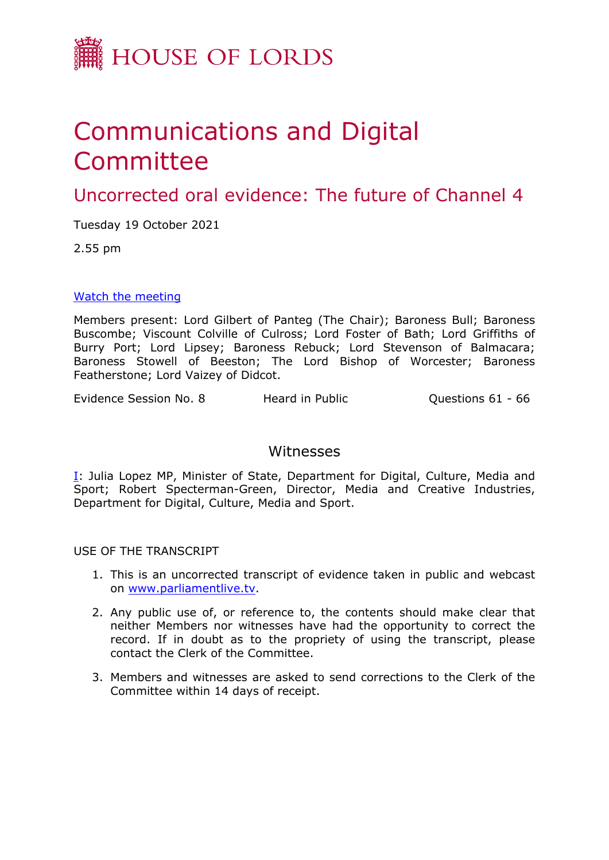

## Communications and Digital Committee

Uncorrected oral evidence: The future of Channel 4

Tuesday 19 October 2021

2.55 pm

[Watch](https://parliamentlive.tv/event/index/06b8cffb-1bf1-463c-ba78-5cae4e1be382) [the](https://parliamentlive.tv/event/index/06b8cffb-1bf1-463c-ba78-5cae4e1be382) [meeting](https://parliamentlive.tv/event/index/06b8cffb-1bf1-463c-ba78-5cae4e1be382)

Members present: Lord Gilbert of Panteg (The Chair); Baroness Bull; Baroness Buscombe; Viscount Colville of Culross; Lord Foster of Bath; Lord Griffiths of Burry Port; Lord Lipsey; Baroness Rebuck; Lord Stevenson of Balmacara; Baroness Stowell of Beeston; The Lord Bishop of Worcester; Baroness Featherstone; Lord Vaizey of Didcot.

Evidence Session No. 8 Heard in Public Cuestions 61 - 66

## Witnesses

[I:](#page-1-0) Julia Lopez MP, Minister of State, Department for Digital, Culture, Media and Sport; Robert Specterman-Green, Director, Media and Creative Industries, Department for Digital, Culture, Media and Sport.

USE OF THE TRANSCRIPT

- 1. This is an uncorrected transcript of evidence taken in public and webcast on [www.parliamentlive.tv.](http://www.parliamentlive.tv/)
- 2. Any public use of, or reference to, the contents should make clear that neither Members nor witnesses have had the opportunity to correct the record. If in doubt as to the propriety of using the transcript, please contact the Clerk of the Committee.
- 3. Members and witnesses are asked to send corrections to the Clerk of the Committee within 14 days of receipt.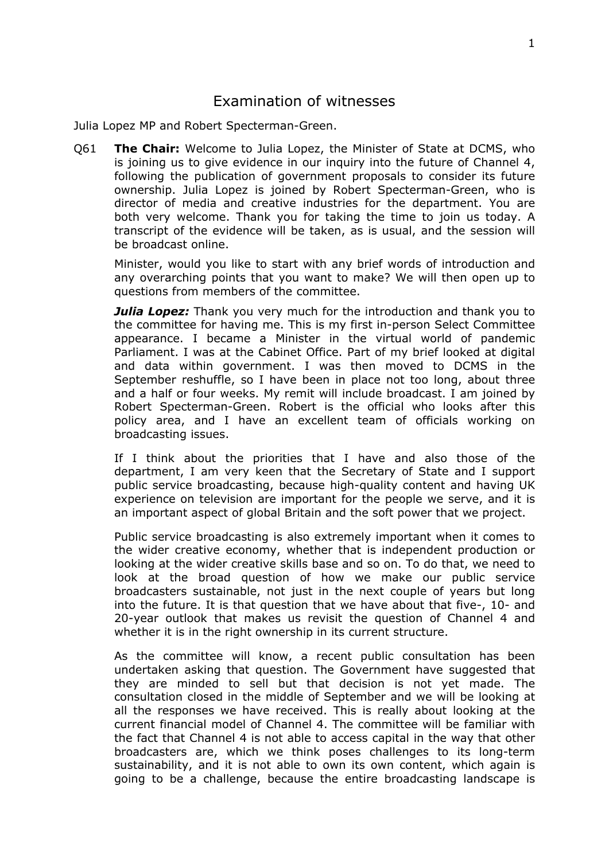## <span id="page-1-0"></span>Examination of witnesses

Julia Lopez MP and Robert Specterman-Green.

Q61 **The Chair:** Welcome to Julia Lopez, the Minister of State at DCMS, who is joining us to give evidence in our inquiry into the future of Channel 4, following the publication of government proposals to consider its future ownership. Julia Lopez is joined by Robert Specterman-Green, who is director of media and creative industries for the department. You are both very welcome. Thank you for taking the time to join us today. A transcript of the evidence will be taken, as is usual, and the session will be broadcast online.

Minister, would you like to start with any brief words of introduction and any overarching points that you want to make? We will then open up to questions from members of the committee.

*Julia Lopez:* Thank you very much for the introduction and thank you to the committee for having me. This is my first in-person Select Committee appearance. I became a Minister in the virtual world of pandemic Parliament. I was at the Cabinet Office. Part of my brief looked at digital and data within government. I was then moved to DCMS in the September reshuffle, so I have been in place not too long, about three and a half or four weeks. My remit will include broadcast. I am joined by Robert Specterman-Green. Robert is the official who looks after this policy area, and I have an excellent team of officials working on broadcasting issues.

If I think about the priorities that I have and also those of the department, I am very keen that the Secretary of State and I support public service broadcasting, because high-quality content and having UK experience on television are important for the people we serve, and it is an important aspect of global Britain and the soft power that we project.

Public service broadcasting is also extremely important when it comes to the wider creative economy, whether that is independent production or looking at the wider creative skills base and so on. To do that, we need to look at the broad question of how we make our public service broadcasters sustainable, not just in the next couple of years but long into the future. It is that question that we have about that five-, 10- and 20-year outlook that makes us revisit the question of Channel 4 and whether it is in the right ownership in its current structure.

As the committee will know, a recent public consultation has been undertaken asking that question. The Government have suggested that they are minded to sell but that decision is not yet made. The consultation closed in the middle of September and we will be looking at all the responses we have received. This is really about looking at the current financial model of Channel 4. The committee will be familiar with the fact that Channel 4 is not able to access capital in the way that other broadcasters are, which we think poses challenges to its long-term sustainability, and it is not able to own its own content, which again is going to be a challenge, because the entire broadcasting landscape is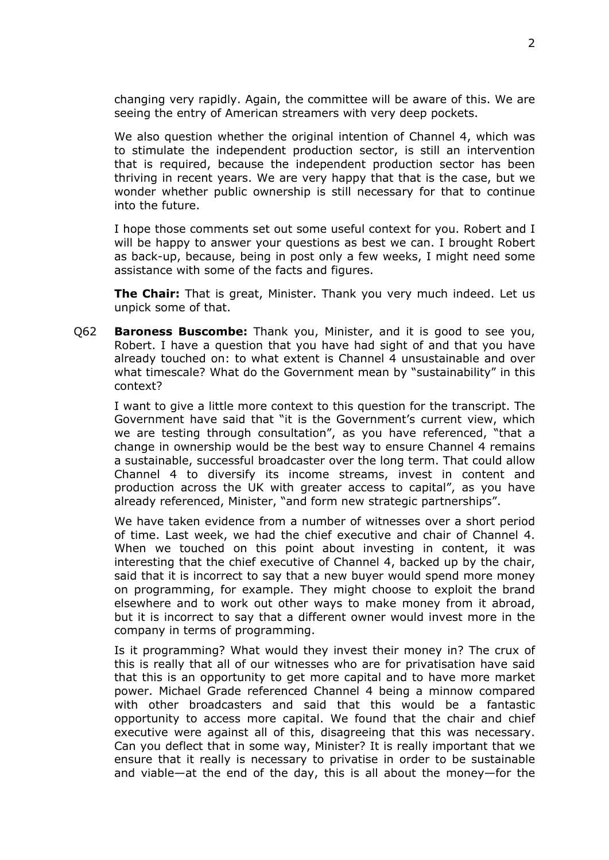changing very rapidly. Again, the committee will be aware of this. We are seeing the entry of American streamers with very deep pockets.

We also question whether the original intention of Channel 4, which was to stimulate the independent production sector, is still an intervention that is required, because the independent production sector has been thriving in recent years. We are very happy that that is the case, but we wonder whether public ownership is still necessary for that to continue into the future.

I hope those comments set out some useful context for you. Robert and I will be happy to answer your questions as best we can. I brought Robert as back-up, because, being in post only a few weeks, I might need some assistance with some of the facts and figures.

**The Chair:** That is great, Minister. Thank you very much indeed. Let us unpick some of that.

Q62 **Baroness Buscombe:** Thank you, Minister, and it is good to see you, Robert. I have a question that you have had sight of and that you have already touched on: to what extent is Channel 4 unsustainable and over what timescale? What do the Government mean by "sustainability" in this context?

I want to give a little more context to this question for the transcript. The Government have said that "it is the Government's current view, which we are testing through consultation", as you have referenced, "that a change in ownership would be the best way to ensure Channel 4 remains a sustainable, successful broadcaster over the long term. That could allow Channel 4 to diversify its income streams, invest in content and production across the UK with greater access to capital", as you have already referenced, Minister, "and form new strategic partnerships".

We have taken evidence from a number of witnesses over a short period of time. Last week, we had the chief executive and chair of Channel 4. When we touched on this point about investing in content, it was interesting that the chief executive of Channel 4, backed up by the chair, said that it is incorrect to say that a new buyer would spend more money on programming, for example. They might choose to exploit the brand elsewhere and to work out other ways to make money from it abroad, but it is incorrect to say that a different owner would invest more in the company in terms of programming.

Is it programming? What would they invest their money in? The crux of this is really that all of our witnesses who are for privatisation have said that this is an opportunity to get more capital and to have more market power. Michael Grade referenced Channel 4 being a minnow compared with other broadcasters and said that this would be a fantastic opportunity to access more capital. We found that the chair and chief executive were against all of this, disagreeing that this was necessary. Can you deflect that in some way, Minister? It is really important that we ensure that it really is necessary to privatise in order to be sustainable and viable—at the end of the day, this is all about the money—for the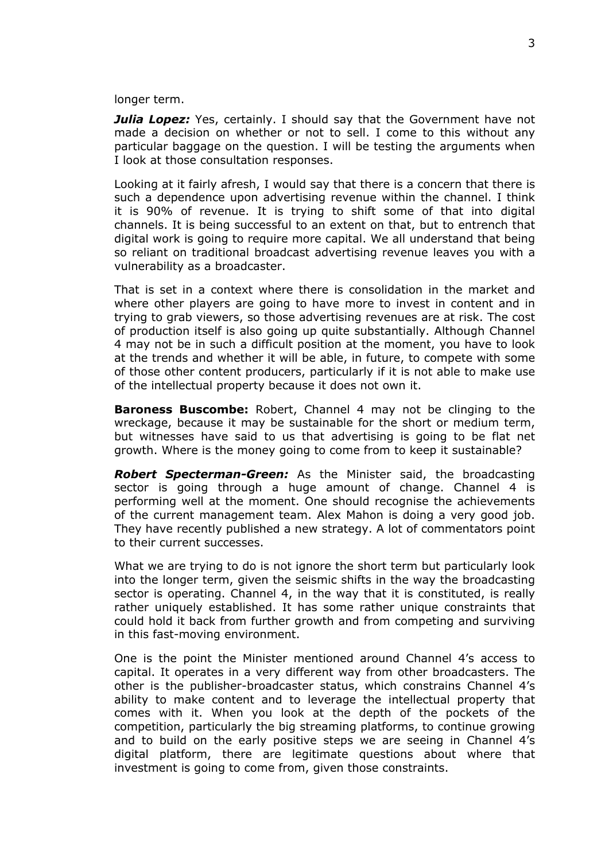longer term.

*Julia Lopez:* Yes, certainly. I should say that the Government have not made a decision on whether or not to sell. I come to this without any particular baggage on the question. I will be testing the arguments when I look at those consultation responses.

Looking at it fairly afresh, I would say that there is a concern that there is such a dependence upon advertising revenue within the channel. I think it is 90% of revenue. It is trying to shift some of that into digital channels. It is being successful to an extent on that, but to entrench that digital work is going to require more capital. We all understand that being so reliant on traditional broadcast advertising revenue leaves you with a vulnerability as a broadcaster.

That is set in a context where there is consolidation in the market and where other players are going to have more to invest in content and in trying to grab viewers, so those advertising revenues are at risk. The cost of production itself is also going up quite substantially. Although Channel 4 may not be in such a difficult position at the moment, you have to look at the trends and whether it will be able, in future, to compete with some of those other content producers, particularly if it is not able to make use of the intellectual property because it does not own it.

**Baroness Buscombe:** Robert, Channel 4 may not be clinging to the wreckage, because it may be sustainable for the short or medium term, but witnesses have said to us that advertising is going to be flat net growth. Where is the money going to come from to keep it sustainable?

*Robert Specterman-Green:* As the Minister said, the broadcasting sector is going through a huge amount of change. Channel 4 is performing well at the moment. One should recognise the achievements of the current management team. Alex Mahon is doing a very good job. They have recently published a new strategy. A lot of commentators point to their current successes.

What we are trying to do is not ignore the short term but particularly look into the longer term, given the seismic shifts in the way the broadcasting sector is operating. Channel 4, in the way that it is constituted, is really rather uniquely established. It has some rather unique constraints that could hold it back from further growth and from competing and surviving in this fast-moving environment.

One is the point the Minister mentioned around Channel 4's access to capital. It operates in a very different way from other broadcasters. The other is the publisher-broadcaster status, which constrains Channel 4's ability to make content and to leverage the intellectual property that comes with it. When you look at the depth of the pockets of the competition, particularly the big streaming platforms, to continue growing and to build on the early positive steps we are seeing in Channel 4's digital platform, there are legitimate questions about where that investment is going to come from, given those constraints.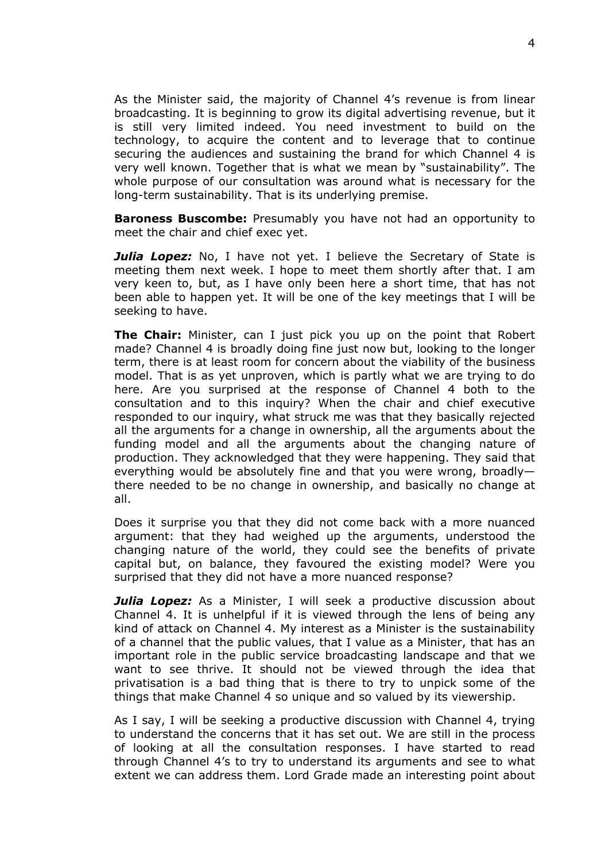As the Minister said, the majority of Channel 4's revenue is from linear broadcasting. It is beginning to grow its digital advertising revenue, but it is still very limited indeed. You need investment to build on the technology, to acquire the content and to leverage that to continue securing the audiences and sustaining the brand for which Channel 4 is very well known. Together that is what we mean by "sustainability". The whole purpose of our consultation was around what is necessary for the long-term sustainability. That is its underlying premise.

**Baroness Buscombe:** Presumably you have not had an opportunity to meet the chair and chief exec yet.

**Julia Lopez:** No, I have not yet. I believe the Secretary of State is meeting them next week. I hope to meet them shortly after that. I am very keen to, but, as I have only been here a short time, that has not been able to happen yet. It will be one of the key meetings that I will be seeking to have.

**The Chair:** Minister, can I just pick you up on the point that Robert made? Channel 4 is broadly doing fine just now but, looking to the longer term, there is at least room for concern about the viability of the business model. That is as yet unproven, which is partly what we are trying to do here. Are you surprised at the response of Channel 4 both to the consultation and to this inquiry? When the chair and chief executive responded to our inquiry, what struck me was that they basically rejected all the arguments for a change in ownership, all the arguments about the funding model and all the arguments about the changing nature of production. They acknowledged that they were happening. They said that everything would be absolutely fine and that you were wrong, broadly there needed to be no change in ownership, and basically no change at all.

Does it surprise you that they did not come back with a more nuanced argument: that they had weighed up the arguments, understood the changing nature of the world, they could see the benefits of private capital but, on balance, they favoured the existing model? Were you surprised that they did not have a more nuanced response?

*Julia Lopez:* As a Minister, I will seek a productive discussion about Channel 4. It is unhelpful if it is viewed through the lens of being any kind of attack on Channel 4. My interest as a Minister is the sustainability of a channel that the public values, that I value as a Minister, that has an important role in the public service broadcasting landscape and that we want to see thrive. It should not be viewed through the idea that privatisation is a bad thing that is there to try to unpick some of the things that make Channel 4 so unique and so valued by its viewership.

As I say, I will be seeking a productive discussion with Channel 4, trying to understand the concerns that it has set out. We are still in the process of looking at all the consultation responses. I have started to read through Channel 4's to try to understand its arguments and see to what extent we can address them. Lord Grade made an interesting point about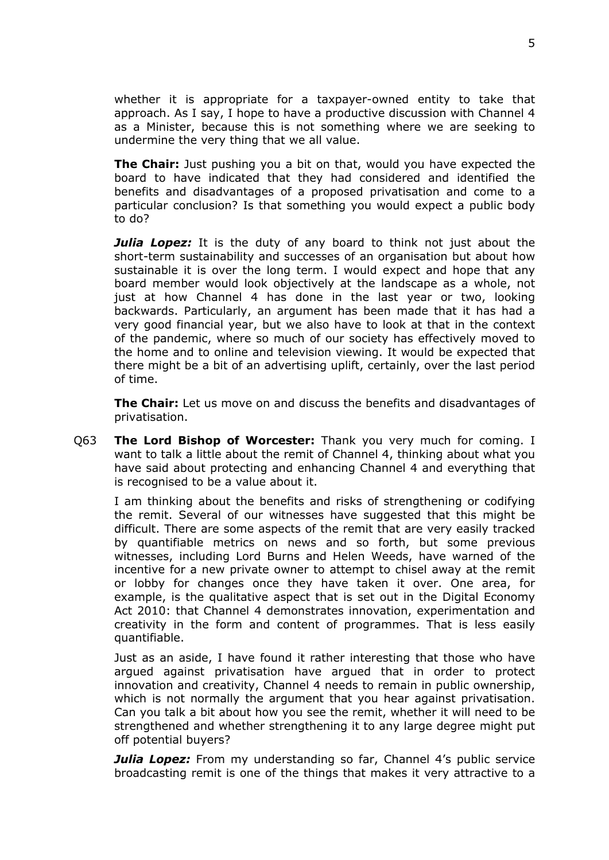whether it is appropriate for a taxpayer-owned entity to take that approach. As I say, I hope to have a productive discussion with Channel 4 as a Minister, because this is not something where we are seeking to undermine the very thing that we all value.

**The Chair:** Just pushing you a bit on that, would you have expected the board to have indicated that they had considered and identified the benefits and disadvantages of a proposed privatisation and come to a particular conclusion? Is that something you would expect a public body to do?

*Julia Lopez:* It is the duty of any board to think not just about the short-term sustainability and successes of an organisation but about how sustainable it is over the long term. I would expect and hope that any board member would look objectively at the landscape as a whole, not just at how Channel 4 has done in the last year or two, looking backwards. Particularly, an argument has been made that it has had a very good financial year, but we also have to look at that in the context of the pandemic, where so much of our society has effectively moved to the home and to online and television viewing. It would be expected that there might be a bit of an advertising uplift, certainly, over the last period of time.

**The Chair:** Let us move on and discuss the benefits and disadvantages of privatisation.

Q63 **The Lord Bishop of Worcester:** Thank you very much for coming. I want to talk a little about the remit of Channel 4, thinking about what you have said about protecting and enhancing Channel 4 and everything that is recognised to be a value about it.

I am thinking about the benefits and risks of strengthening or codifying the remit. Several of our witnesses have suggested that this might be difficult. There are some aspects of the remit that are very easily tracked by quantifiable metrics on news and so forth, but some previous witnesses, including Lord Burns and Helen Weeds, have warned of the incentive for a new private owner to attempt to chisel away at the remit or lobby for changes once they have taken it over. One area, for example, is the qualitative aspect that is set out in the Digital Economy Act 2010: that Channel 4 demonstrates innovation, experimentation and creativity in the form and content of programmes. That is less easily quantifiable.

Just as an aside, I have found it rather interesting that those who have argued against privatisation have argued that in order to protect innovation and creativity, Channel 4 needs to remain in public ownership, which is not normally the argument that you hear against privatisation. Can you talk a bit about how you see the remit, whether it will need to be strengthened and whether strengthening it to any large degree might put off potential buyers?

*Julia Lopez:* From my understanding so far, Channel 4's public service broadcasting remit is one of the things that makes it very attractive to a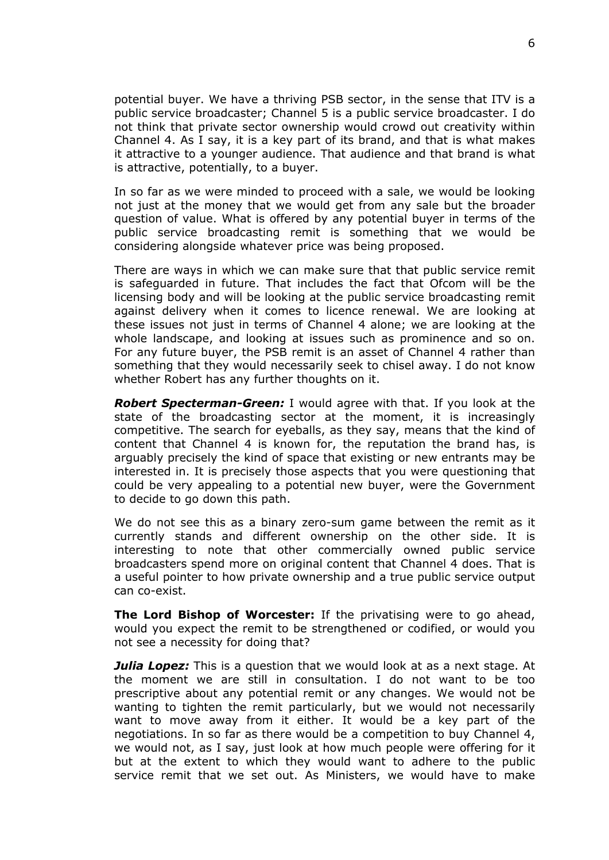potential buyer. We have a thriving PSB sector, in the sense that ITV is a public service broadcaster; Channel 5 is a public service broadcaster. I do not think that private sector ownership would crowd out creativity within Channel 4. As I say, it is a key part of its brand, and that is what makes it attractive to a younger audience. That audience and that brand is what is attractive, potentially, to a buyer.

In so far as we were minded to proceed with a sale, we would be looking not just at the money that we would get from any sale but the broader question of value. What is offered by any potential buyer in terms of the public service broadcasting remit is something that we would be considering alongside whatever price was being proposed.

There are ways in which we can make sure that that public service remit is safeguarded in future. That includes the fact that Ofcom will be the licensing body and will be looking at the public service broadcasting remit against delivery when it comes to licence renewal. We are looking at these issues not just in terms of Channel 4 alone; we are looking at the whole landscape, and looking at issues such as prominence and so on. For any future buyer, the PSB remit is an asset of Channel 4 rather than something that they would necessarily seek to chisel away. I do not know whether Robert has any further thoughts on it.

*Robert Specterman-Green:* I would agree with that. If you look at the state of the broadcasting sector at the moment, it is increasingly competitive. The search for eyeballs, as they say, means that the kind of content that Channel 4 is known for, the reputation the brand has, is arguably precisely the kind of space that existing or new entrants may be interested in. It is precisely those aspects that you were questioning that could be very appealing to a potential new buyer, were the Government to decide to go down this path.

We do not see this as a binary zero-sum game between the remit as it currently stands and different ownership on the other side. It is interesting to note that other commercially owned public service broadcasters spend more on original content that Channel 4 does. That is a useful pointer to how private ownership and a true public service output can co-exist.

**The Lord Bishop of Worcester:** If the privatising were to go ahead, would you expect the remit to be strengthened or codified, or would you not see a necessity for doing that?

*Julia Lopez:* This is a question that we would look at as a next stage. At the moment we are still in consultation. I do not want to be too prescriptive about any potential remit or any changes. We would not be wanting to tighten the remit particularly, but we would not necessarily want to move away from it either. It would be a key part of the negotiations. In so far as there would be a competition to buy Channel 4, we would not, as I say, just look at how much people were offering for it but at the extent to which they would want to adhere to the public service remit that we set out. As Ministers, we would have to make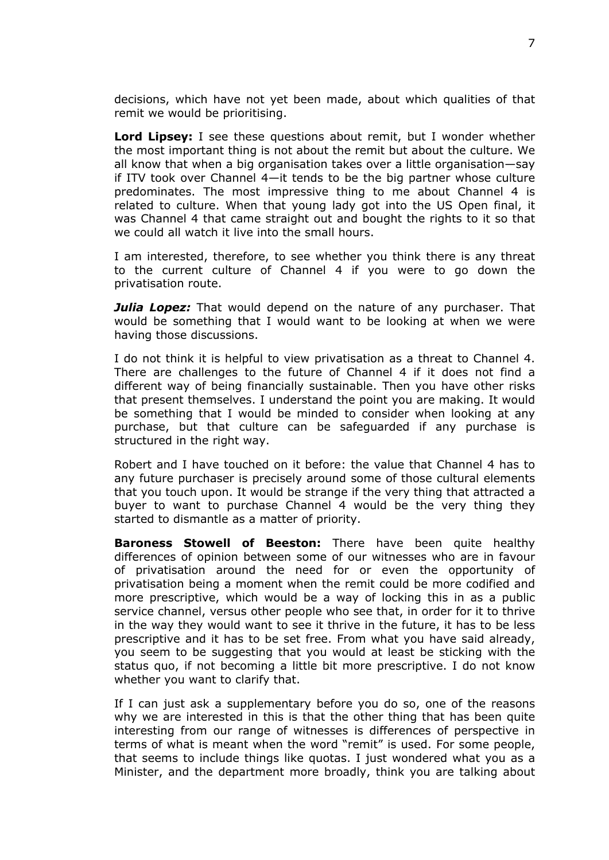decisions, which have not yet been made, about which qualities of that remit we would be prioritising.

**Lord Lipsey:** I see these questions about remit, but I wonder whether the most important thing is not about the remit but about the culture. We all know that when a big organisation takes over a little organisation—say if ITV took over Channel 4—it tends to be the big partner whose culture predominates. The most impressive thing to me about Channel 4 is related to culture. When that young lady got into the US Open final, it was Channel 4 that came straight out and bought the rights to it so that we could all watch it live into the small hours.

I am interested, therefore, to see whether you think there is any threat to the current culture of Channel 4 if you were to go down the privatisation route.

*Julia Lopez:* That would depend on the nature of any purchaser. That would be something that I would want to be looking at when we were having those discussions.

I do not think it is helpful to view privatisation as a threat to Channel 4. There are challenges to the future of Channel 4 if it does not find a different way of being financially sustainable. Then you have other risks that present themselves. I understand the point you are making. It would be something that I would be minded to consider when looking at any purchase, but that culture can be safeguarded if any purchase is structured in the right way.

Robert and I have touched on it before: the value that Channel 4 has to any future purchaser is precisely around some of those cultural elements that you touch upon. It would be strange if the very thing that attracted a buyer to want to purchase Channel 4 would be the very thing they started to dismantle as a matter of priority.

**Baroness Stowell of Beeston:** There have been quite healthy differences of opinion between some of our witnesses who are in favour of privatisation around the need for or even the opportunity of privatisation being a moment when the remit could be more codified and more prescriptive, which would be a way of locking this in as a public service channel, versus other people who see that, in order for it to thrive in the way they would want to see it thrive in the future, it has to be less prescriptive and it has to be set free. From what you have said already, you seem to be suggesting that you would at least be sticking with the status quo, if not becoming a little bit more prescriptive. I do not know whether you want to clarify that.

If I can just ask a supplementary before you do so, one of the reasons why we are interested in this is that the other thing that has been quite interesting from our range of witnesses is differences of perspective in terms of what is meant when the word "remit" is used. For some people, that seems to include things like quotas. I just wondered what you as a Minister, and the department more broadly, think you are talking about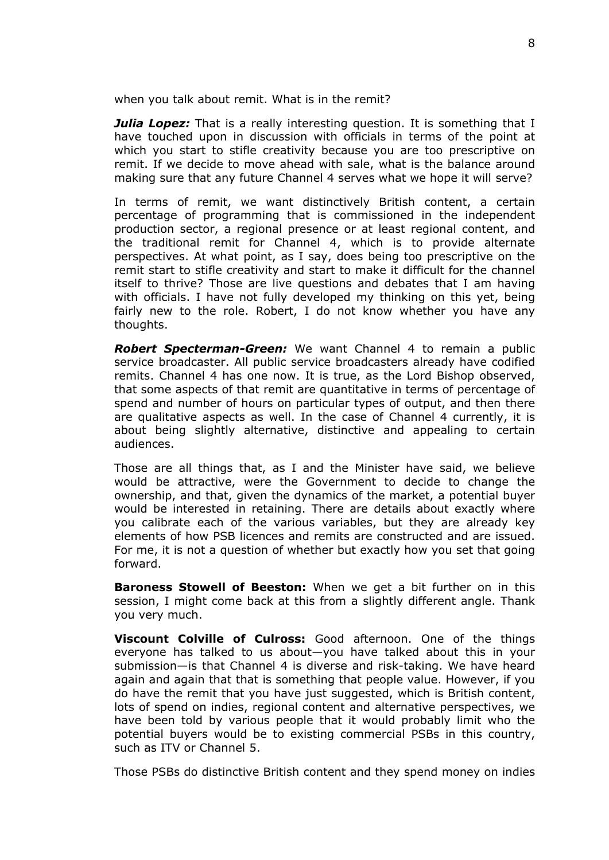when you talk about remit. What is in the remit?

*Julia Lopez:* That is a really interesting question. It is something that I have touched upon in discussion with officials in terms of the point at which you start to stifle creativity because you are too prescriptive on remit. If we decide to move ahead with sale, what is the balance around making sure that any future Channel 4 serves what we hope it will serve?

In terms of remit, we want distinctively British content, a certain percentage of programming that is commissioned in the independent production sector, a regional presence or at least regional content, and the traditional remit for Channel 4, which is to provide alternate perspectives. At what point, as I say, does being too prescriptive on the remit start to stifle creativity and start to make it difficult for the channel itself to thrive? Those are live questions and debates that I am having with officials. I have not fully developed my thinking on this yet, being fairly new to the role. Robert, I do not know whether you have any thoughts.

*Robert Specterman-Green:* We want Channel 4 to remain a public service broadcaster. All public service broadcasters already have codified remits. Channel 4 has one now. It is true, as the Lord Bishop observed, that some aspects of that remit are quantitative in terms of percentage of spend and number of hours on particular types of output, and then there are qualitative aspects as well. In the case of Channel 4 currently, it is about being slightly alternative, distinctive and appealing to certain audiences.

Those are all things that, as I and the Minister have said, we believe would be attractive, were the Government to decide to change the ownership, and that, given the dynamics of the market, a potential buyer would be interested in retaining. There are details about exactly where you calibrate each of the various variables, but they are already key elements of how PSB licences and remits are constructed and are issued. For me, it is not a question of whether but exactly how you set that going forward.

**Baroness Stowell of Beeston:** When we get a bit further on in this session, I might come back at this from a slightly different angle. Thank you very much.

**Viscount Colville of Culross:** Good afternoon. One of the things everyone has talked to us about—you have talked about this in your submission—is that Channel 4 is diverse and risk-taking. We have heard again and again that that is something that people value. However, if you do have the remit that you have just suggested, which is British content, lots of spend on indies, regional content and alternative perspectives, we have been told by various people that it would probably limit who the potential buyers would be to existing commercial PSBs in this country, such as ITV or Channel 5.

Those PSBs do distinctive British content and they spend money on indies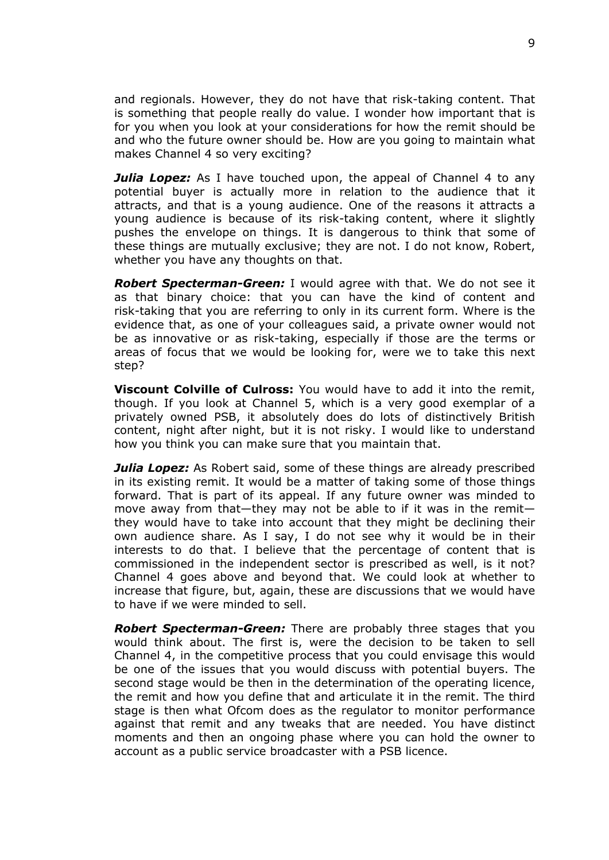and regionals. However, they do not have that risk-taking content. That is something that people really do value. I wonder how important that is for you when you look at your considerations for how the remit should be and who the future owner should be. How are you going to maintain what makes Channel 4 so very exciting?

**Julia Lopez:** As I have touched upon, the appeal of Channel 4 to any potential buyer is actually more in relation to the audience that it attracts, and that is a young audience. One of the reasons it attracts a young audience is because of its risk-taking content, where it slightly pushes the envelope on things. It is dangerous to think that some of these things are mutually exclusive; they are not. I do not know, Robert, whether you have any thoughts on that.

*Robert Specterman-Green:* I would agree with that. We do not see it as that binary choice: that you can have the kind of content and risk-taking that you are referring to only in its current form. Where is the evidence that, as one of your colleagues said, a private owner would not be as innovative or as risk-taking, especially if those are the terms or areas of focus that we would be looking for, were we to take this next step?

**Viscount Colville of Culross:** You would have to add it into the remit, though. If you look at Channel 5, which is a very good exemplar of a privately owned PSB, it absolutely does do lots of distinctively British content, night after night, but it is not risky. I would like to understand how you think you can make sure that you maintain that.

*Julia Lopez:* As Robert said, some of these things are already prescribed in its existing remit. It would be a matter of taking some of those things forward. That is part of its appeal. If any future owner was minded to move away from that—they may not be able to if it was in the remit they would have to take into account that they might be declining their own audience share. As I say, I do not see why it would be in their interests to do that. I believe that the percentage of content that is commissioned in the independent sector is prescribed as well, is it not? Channel 4 goes above and beyond that. We could look at whether to increase that figure, but, again, these are discussions that we would have to have if we were minded to sell.

*Robert Specterman-Green:* There are probably three stages that you would think about. The first is, were the decision to be taken to sell Channel 4, in the competitive process that you could envisage this would be one of the issues that you would discuss with potential buyers. The second stage would be then in the determination of the operating licence, the remit and how you define that and articulate it in the remit. The third stage is then what Ofcom does as the regulator to monitor performance against that remit and any tweaks that are needed. You have distinct moments and then an ongoing phase where you can hold the owner to account as a public service broadcaster with a PSB licence.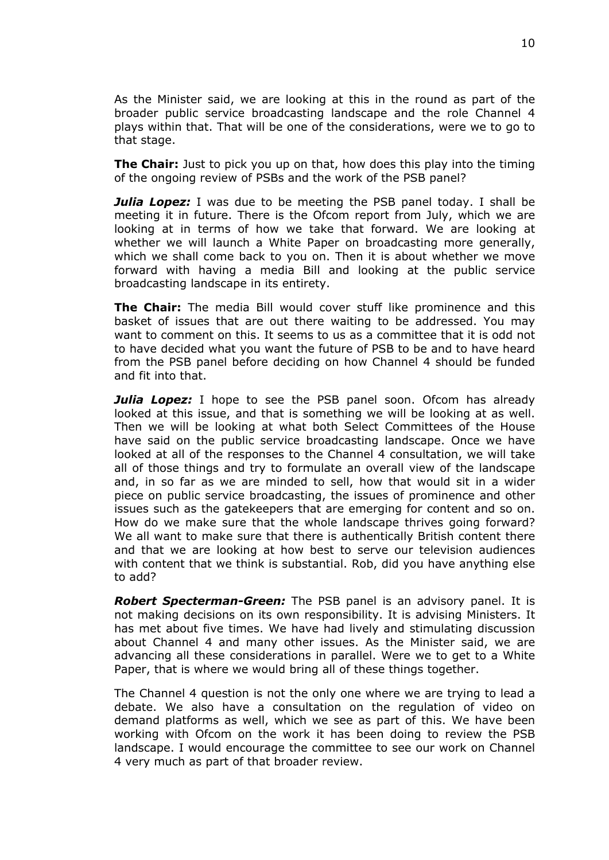As the Minister said, we are looking at this in the round as part of the broader public service broadcasting landscape and the role Channel 4 plays within that. That will be one of the considerations, were we to go to that stage.

**The Chair:** Just to pick you up on that, how does this play into the timing of the ongoing review of PSBs and the work of the PSB panel?

*Julia Lopez:* I was due to be meeting the PSB panel today. I shall be meeting it in future. There is the Ofcom report from July, which we are looking at in terms of how we take that forward. We are looking at whether we will launch a White Paper on broadcasting more generally, which we shall come back to you on. Then it is about whether we move forward with having a media Bill and looking at the public service broadcasting landscape in its entirety.

**The Chair:** The media Bill would cover stuff like prominence and this basket of issues that are out there waiting to be addressed. You may want to comment on this. It seems to us as a committee that it is odd not to have decided what you want the future of PSB to be and to have heard from the PSB panel before deciding on how Channel 4 should be funded and fit into that.

*Julia Lopez:* I hope to see the PSB panel soon. Ofcom has already looked at this issue, and that is something we will be looking at as well. Then we will be looking at what both Select Committees of the House have said on the public service broadcasting landscape. Once we have looked at all of the responses to the Channel 4 consultation, we will take all of those things and try to formulate an overall view of the landscape and, in so far as we are minded to sell, how that would sit in a wider piece on public service broadcasting, the issues of prominence and other issues such as the gatekeepers that are emerging for content and so on. How do we make sure that the whole landscape thrives going forward? We all want to make sure that there is authentically British content there and that we are looking at how best to serve our television audiences with content that we think is substantial. Rob, did you have anything else to add?

*Robert Specterman-Green:* The PSB panel is an advisory panel. It is not making decisions on its own responsibility. It is advising Ministers. It has met about five times. We have had lively and stimulating discussion about Channel 4 and many other issues. As the Minister said, we are advancing all these considerations in parallel. Were we to get to a White Paper, that is where we would bring all of these things together.

The Channel 4 question is not the only one where we are trying to lead a debate. We also have a consultation on the regulation of video on demand platforms as well, which we see as part of this. We have been working with Ofcom on the work it has been doing to review the PSB landscape. I would encourage the committee to see our work on Channel 4 very much as part of that broader review.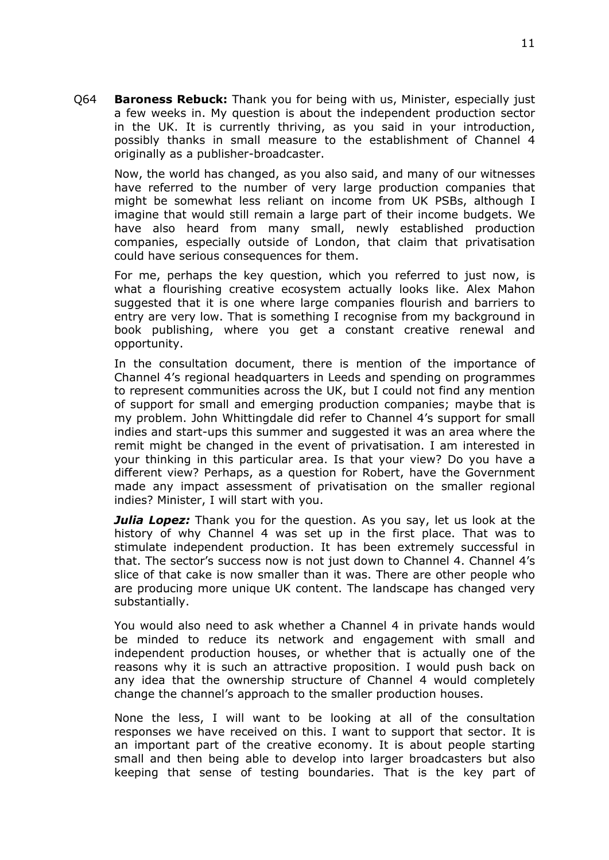Q64 **Baroness Rebuck:** Thank you for being with us, Minister, especially just a few weeks in. My question is about the independent production sector in the UK. It is currently thriving, as you said in your introduction, possibly thanks in small measure to the establishment of Channel 4 originally as a publisher-broadcaster.

Now, the world has changed, as you also said, and many of our witnesses have referred to the number of very large production companies that might be somewhat less reliant on income from UK PSBs, although I imagine that would still remain a large part of their income budgets. We have also heard from many small, newly established production companies, especially outside of London, that claim that privatisation could have serious consequences for them.

For me, perhaps the key question, which you referred to just now, is what a flourishing creative ecosystem actually looks like. Alex Mahon suggested that it is one where large companies flourish and barriers to entry are very low. That is something I recognise from my background in book publishing, where you get a constant creative renewal and opportunity.

In the consultation document, there is mention of the importance of Channel 4's regional headquarters in Leeds and spending on programmes to represent communities across the UK, but I could not find any mention of support for small and emerging production companies; maybe that is my problem. John Whittingdale did refer to Channel 4's support for small indies and start-ups this summer and suggested it was an area where the remit might be changed in the event of privatisation. I am interested in your thinking in this particular area. Is that your view? Do you have a different view? Perhaps, as a question for Robert, have the Government made any impact assessment of privatisation on the smaller regional indies? Minister, I will start with you.

*Julia Lopez:* Thank you for the question. As you say, let us look at the history of why Channel 4 was set up in the first place. That was to stimulate independent production. It has been extremely successful in that. The sector's success now is not just down to Channel 4. Channel 4's slice of that cake is now smaller than it was. There are other people who are producing more unique UK content. The landscape has changed very substantially.

You would also need to ask whether a Channel 4 in private hands would be minded to reduce its network and engagement with small and independent production houses, or whether that is actually one of the reasons why it is such an attractive proposition. I would push back on any idea that the ownership structure of Channel 4 would completely change the channel's approach to the smaller production houses.

None the less, I will want to be looking at all of the consultation responses we have received on this. I want to support that sector. It is an important part of the creative economy. It is about people starting small and then being able to develop into larger broadcasters but also keeping that sense of testing boundaries. That is the key part of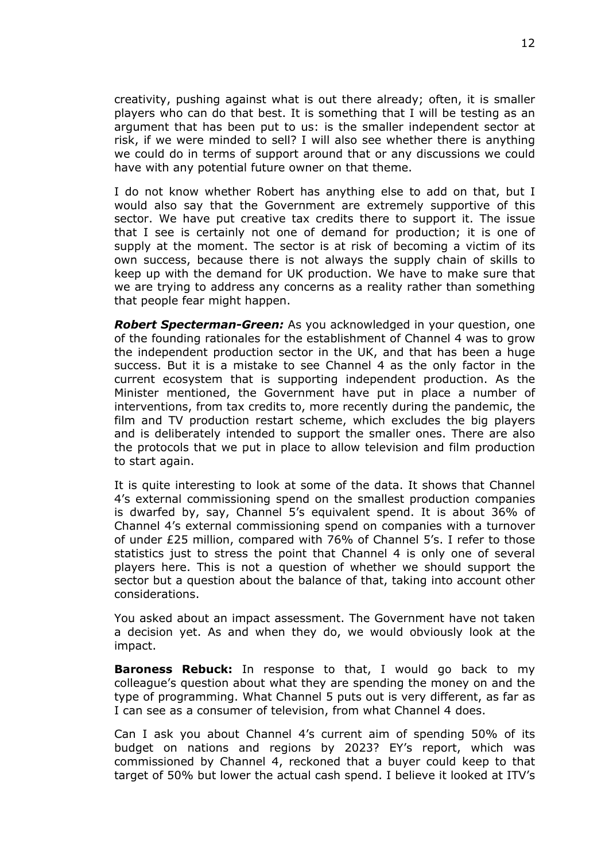creativity, pushing against what is out there already; often, it is smaller players who can do that best. It is something that I will be testing as an argument that has been put to us: is the smaller independent sector at risk, if we were minded to sell? I will also see whether there is anything we could do in terms of support around that or any discussions we could have with any potential future owner on that theme.

I do not know whether Robert has anything else to add on that, but I would also say that the Government are extremely supportive of this sector. We have put creative tax credits there to support it. The issue that I see is certainly not one of demand for production; it is one of supply at the moment. The sector is at risk of becoming a victim of its own success, because there is not always the supply chain of skills to keep up with the demand for UK production. We have to make sure that we are trying to address any concerns as a reality rather than something that people fear might happen.

*Robert Specterman-Green:* As you acknowledged in your question, one of the founding rationales for the establishment of Channel 4 was to grow the independent production sector in the UK, and that has been a huge success. But it is a mistake to see Channel 4 as the only factor in the current ecosystem that is supporting independent production. As the Minister mentioned, the Government have put in place a number of interventions, from tax credits to, more recently during the pandemic, the film and TV production restart scheme, which excludes the big players and is deliberately intended to support the smaller ones. There are also the protocols that we put in place to allow television and film production to start again.

It is quite interesting to look at some of the data. It shows that Channel 4's external commissioning spend on the smallest production companies is dwarfed by, say, Channel 5's equivalent spend. It is about 36% of Channel 4's external commissioning spend on companies with a turnover of under £25 million, compared with 76% of Channel 5's. I refer to those statistics just to stress the point that Channel 4 is only one of several players here. This is not a question of whether we should support the sector but a question about the balance of that, taking into account other considerations.

You asked about an impact assessment. The Government have not taken a decision yet. As and when they do, we would obviously look at the impact.

**Baroness Rebuck:** In response to that, I would go back to my colleague's question about what they are spending the money on and the type of programming. What Channel 5 puts out is very different, as far as I can see as a consumer of television, from what Channel 4 does.

Can I ask you about Channel 4's current aim of spending 50% of its budget on nations and regions by 2023? EY's report, which was commissioned by Channel 4, reckoned that a buyer could keep to that target of 50% but lower the actual cash spend. I believe it looked at ITV's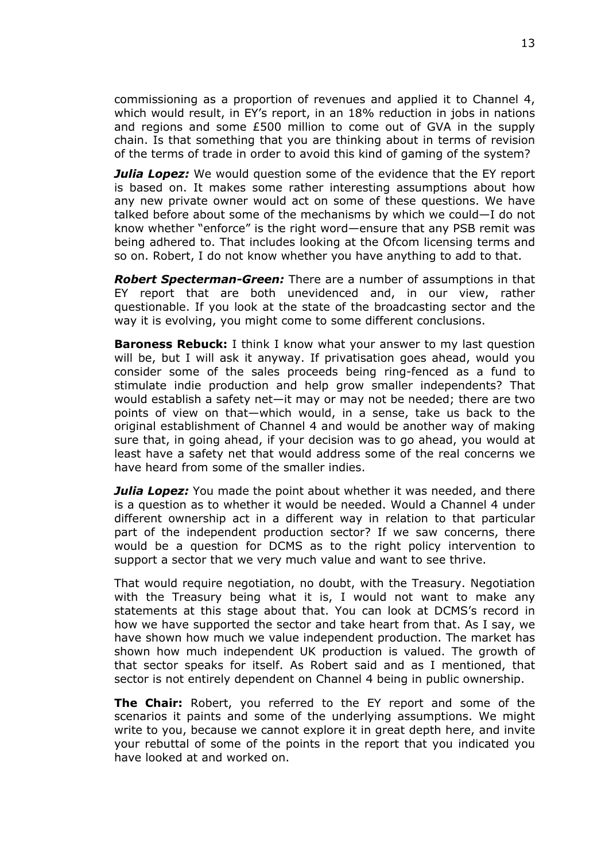commissioning as a proportion of revenues and applied it to Channel 4, which would result, in EY's report, in an 18% reduction in jobs in nations and regions and some £500 million to come out of GVA in the supply chain. Is that something that you are thinking about in terms of revision of the terms of trade in order to avoid this kind of gaming of the system?

*Julia Lopez:* We would question some of the evidence that the EY report is based on. It makes some rather interesting assumptions about how any new private owner would act on some of these questions. We have talked before about some of the mechanisms by which we could—I do not know whether "enforce" is the right word—ensure that any PSB remit was being adhered to. That includes looking at the Ofcom licensing terms and so on. Robert, I do not know whether you have anything to add to that.

*Robert Specterman-Green:* There are a number of assumptions in that EY report that are both unevidenced and, in our view, rather questionable. If you look at the state of the broadcasting sector and the way it is evolving, you might come to some different conclusions.

**Baroness Rebuck:** I think I know what your answer to my last question will be, but I will ask it anyway. If privatisation goes ahead, would you consider some of the sales proceeds being ring-fenced as a fund to stimulate indie production and help grow smaller independents? That would establish a safety net—it may or may not be needed; there are two points of view on that—which would, in a sense, take us back to the original establishment of Channel 4 and would be another way of making sure that, in going ahead, if your decision was to go ahead, you would at least have a safety net that would address some of the real concerns we have heard from some of the smaller indies.

*Julia Lopez:* You made the point about whether it was needed, and there is a question as to whether it would be needed. Would a Channel 4 under different ownership act in a different way in relation to that particular part of the independent production sector? If we saw concerns, there would be a question for DCMS as to the right policy intervention to support a sector that we very much value and want to see thrive.

That would require negotiation, no doubt, with the Treasury. Negotiation with the Treasury being what it is, I would not want to make any statements at this stage about that. You can look at DCMS's record in how we have supported the sector and take heart from that. As I say, we have shown how much we value independent production. The market has shown how much independent UK production is valued. The growth of that sector speaks for itself. As Robert said and as I mentioned, that sector is not entirely dependent on Channel 4 being in public ownership.

**The Chair:** Robert, you referred to the EY report and some of the scenarios it paints and some of the underlying assumptions. We might write to you, because we cannot explore it in great depth here, and invite your rebuttal of some of the points in the report that you indicated you have looked at and worked on.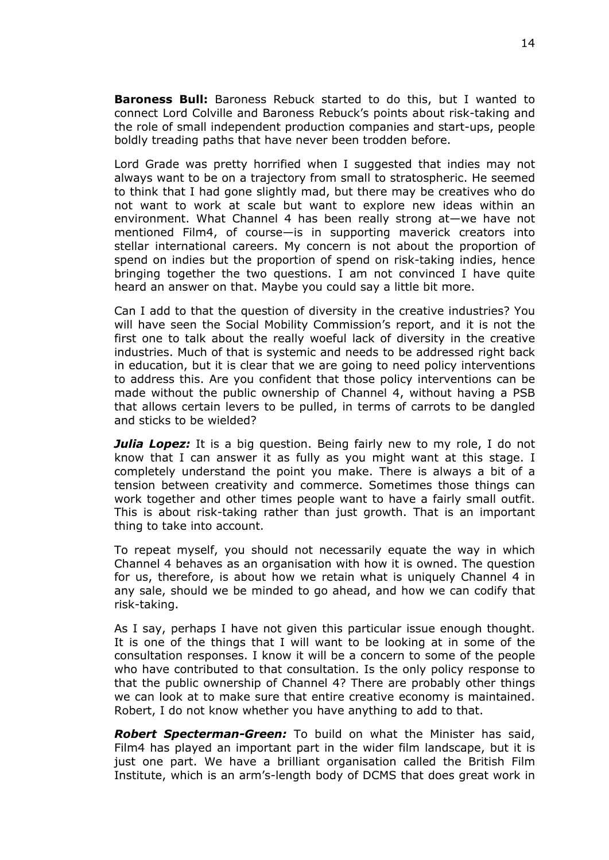**Baroness Bull:** Baroness Rebuck started to do this, but I wanted to connect Lord Colville and Baroness Rebuck's points about risk-taking and the role of small independent production companies and start-ups, people boldly treading paths that have never been trodden before.

Lord Grade was pretty horrified when I suggested that indies may not always want to be on a trajectory from small to stratospheric. He seemed to think that I had gone slightly mad, but there may be creatives who do not want to work at scale but want to explore new ideas within an environment. What Channel 4 has been really strong at—we have not mentioned Film4, of course—is in supporting maverick creators into stellar international careers. My concern is not about the proportion of spend on indies but the proportion of spend on risk-taking indies, hence bringing together the two questions. I am not convinced I have quite heard an answer on that. Maybe you could say a little bit more.

Can I add to that the question of diversity in the creative industries? You will have seen the Social Mobility Commission's report, and it is not the first one to talk about the really woeful lack of diversity in the creative industries. Much of that is systemic and needs to be addressed right back in education, but it is clear that we are going to need policy interventions to address this. Are you confident that those policy interventions can be made without the public ownership of Channel 4, without having a PSB that allows certain levers to be pulled, in terms of carrots to be dangled and sticks to be wielded?

*Julia Lopez:* It is a big question. Being fairly new to my role, I do not know that I can answer it as fully as you might want at this stage. I completely understand the point you make. There is always a bit of a tension between creativity and commerce. Sometimes those things can work together and other times people want to have a fairly small outfit. This is about risk-taking rather than just growth. That is an important thing to take into account.

To repeat myself, you should not necessarily equate the way in which Channel 4 behaves as an organisation with how it is owned. The question for us, therefore, is about how we retain what is uniquely Channel 4 in any sale, should we be minded to go ahead, and how we can codify that risk-taking.

As I say, perhaps I have not given this particular issue enough thought. It is one of the things that I will want to be looking at in some of the consultation responses. I know it will be a concern to some of the people who have contributed to that consultation. Is the only policy response to that the public ownership of Channel 4? There are probably other things we can look at to make sure that entire creative economy is maintained. Robert, I do not know whether you have anything to add to that.

*Robert Specterman-Green:* To build on what the Minister has said, Film4 has played an important part in the wider film landscape, but it is just one part. We have a brilliant organisation called the British Film Institute, which is an arm's-length body of DCMS that does great work in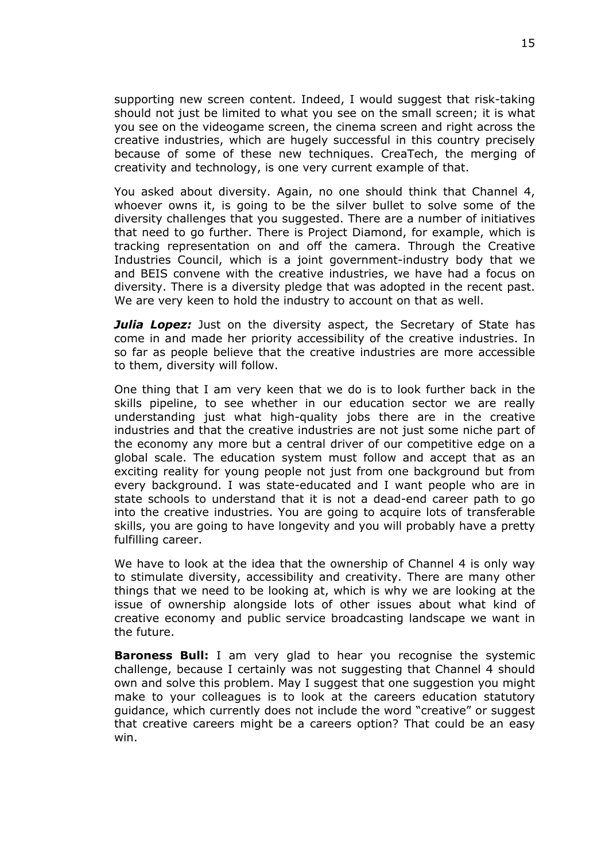supporting new screen content. Indeed, I would suggest that risk-taking should not just be limited to what you see on the small screen; it is what you see on the videogame screen, the cinema screen and right across the creative industries, which are hugely successful in this country precisely because of some of these new techniques. CreaTech, the merging of creativity and technology, is one very current example of that.

You asked about diversity. Again, no one should think that Channel 4, whoever owns it, is going to be the silver bullet to solve some of the diversity challenges that you suggested. There are a number of initiatives that need to go further. There is Project Diamond, for example, which is tracking representation on and off the camera. Through the Creative Industries Council, which is a joint government-industry body that we and BEIS convene with the creative industries, we have had a focus on diversity. There is a diversity pledge that was adopted in the recent past. We are very keen to hold the industry to account on that as well.

**Julia Lopez:** Just on the diversity aspect, the Secretary of State has come in and made her priority accessibility of the creative industries. In so far as people believe that the creative industries are more accessible to them, diversity will follow.

One thing that I am very keen that we do is to look further back in the skills pipeline, to see whether in our education sector we are really understanding just what high-quality jobs there are in the creative industries and that the creative industries are not just some niche part of the economy any more but a central driver of our competitive edge on a global scale. The education system must follow and accept that as an exciting reality for young people not just from one background but from every background. I was state-educated and I want people who are in state schools to understand that it is not a dead-end career path to go into the creative industries. You are going to acquire lots of transferable skills, you are going to have longevity and you will probably have a pretty fulfilling career.

We have to look at the idea that the ownership of Channel 4 is only way to stimulate diversity, accessibility and creativity. There are many other things that we need to be looking at, which is why we are looking at the issue of ownership alongside lots of other issues about what kind of creative economy and public service broadcasting landscape we want in the future.

**Baroness Bull:** I am very glad to hear you recognise the systemic challenge, because I certainly was not suggesting that Channel 4 should own and solve this problem. May I suggest that one suggestion you might make to your colleagues is to look at the careers education statutory guidance, which currently does not include the word "creative" or suggest that creative careers might be a careers option? That could be an easy win.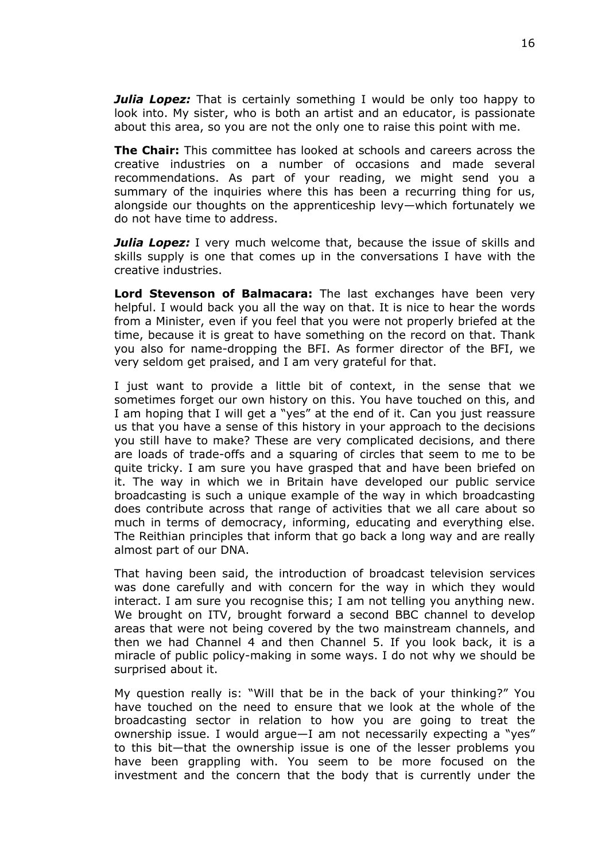*Julia Lopez:* That is certainly something I would be only too happy to look into. My sister, who is both an artist and an educator, is passionate about this area, so you are not the only one to raise this point with me.

**The Chair:** This committee has looked at schools and careers across the creative industries on a number of occasions and made several recommendations. As part of your reading, we might send you a summary of the inquiries where this has been a recurring thing for us, alongside our thoughts on the apprenticeship levy—which fortunately we do not have time to address.

*Julia Lopez:* I very much welcome that, because the issue of skills and skills supply is one that comes up in the conversations I have with the creative industries.

**Lord Stevenson of Balmacara:** The last exchanges have been very helpful. I would back you all the way on that. It is nice to hear the words from a Minister, even if you feel that you were not properly briefed at the time, because it is great to have something on the record on that. Thank you also for name-dropping the BFI. As former director of the BFI, we very seldom get praised, and I am very grateful for that.

I just want to provide a little bit of context, in the sense that we sometimes forget our own history on this. You have touched on this, and I am hoping that I will get a "yes" at the end of it. Can you just reassure us that you have a sense of this history in your approach to the decisions you still have to make? These are very complicated decisions, and there are loads of trade-offs and a squaring of circles that seem to me to be quite tricky. I am sure you have grasped that and have been briefed on it. The way in which we in Britain have developed our public service broadcasting is such a unique example of the way in which broadcasting does contribute across that range of activities that we all care about so much in terms of democracy, informing, educating and everything else. The Reithian principles that inform that go back a long way and are really almost part of our DNA.

That having been said, the introduction of broadcast television services was done carefully and with concern for the way in which they would interact. I am sure you recognise this; I am not telling you anything new. We brought on ITV, brought forward a second BBC channel to develop areas that were not being covered by the two mainstream channels, and then we had Channel 4 and then Channel 5. If you look back, it is a miracle of public policy-making in some ways. I do not why we should be surprised about it.

My question really is: "Will that be in the back of your thinking?" You have touched on the need to ensure that we look at the whole of the broadcasting sector in relation to how you are going to treat the ownership issue. I would argue—I am not necessarily expecting a "yes" to this bit—that the ownership issue is one of the lesser problems you have been grappling with. You seem to be more focused on the investment and the concern that the body that is currently under the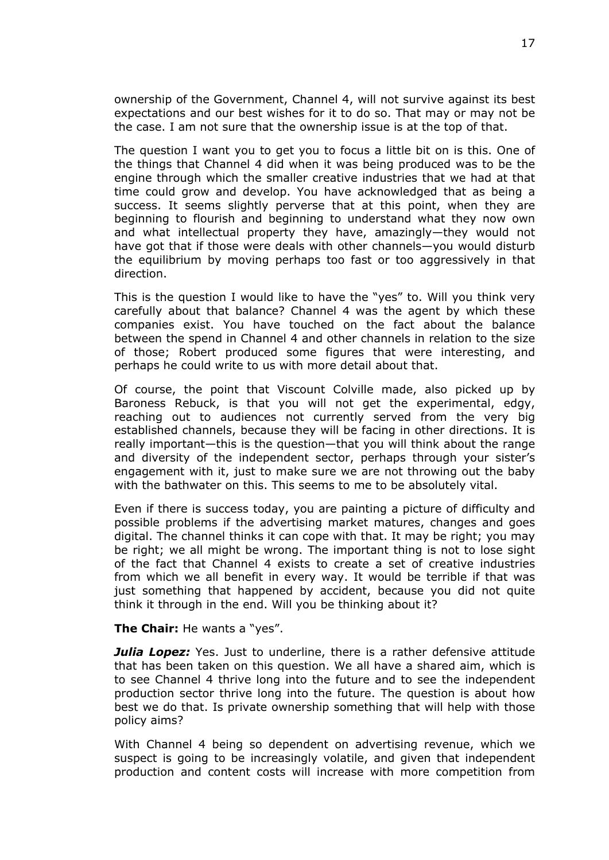ownership of the Government, Channel 4, will not survive against its best expectations and our best wishes for it to do so. That may or may not be the case. I am not sure that the ownership issue is at the top of that.

The question I want you to get you to focus a little bit on is this. One of the things that Channel 4 did when it was being produced was to be the engine through which the smaller creative industries that we had at that time could grow and develop. You have acknowledged that as being a success. It seems slightly perverse that at this point, when they are beginning to flourish and beginning to understand what they now own and what intellectual property they have, amazingly—they would not have got that if those were deals with other channels—you would disturb the equilibrium by moving perhaps too fast or too aggressively in that direction.

This is the question I would like to have the "yes" to. Will you think very carefully about that balance? Channel 4 was the agent by which these companies exist. You have touched on the fact about the balance between the spend in Channel 4 and other channels in relation to the size of those; Robert produced some figures that were interesting, and perhaps he could write to us with more detail about that.

Of course, the point that Viscount Colville made, also picked up by Baroness Rebuck, is that you will not get the experimental, edgy, reaching out to audiences not currently served from the very big established channels, because they will be facing in other directions. It is really important—this is the question—that you will think about the range and diversity of the independent sector, perhaps through your sister's engagement with it, just to make sure we are not throwing out the baby with the bathwater on this. This seems to me to be absolutely vital.

Even if there is success today, you are painting a picture of difficulty and possible problems if the advertising market matures, changes and goes digital. The channel thinks it can cope with that. It may be right; you may be right; we all might be wrong. The important thing is not to lose sight of the fact that Channel 4 exists to create a set of creative industries from which we all benefit in every way. It would be terrible if that was just something that happened by accident, because you did not quite think it through in the end. Will you be thinking about it?

**The Chair:** He wants a "yes".

**Julia Lopez:** Yes. Just to underline, there is a rather defensive attitude that has been taken on this question. We all have a shared aim, which is to see Channel 4 thrive long into the future and to see the independent production sector thrive long into the future. The question is about how best we do that. Is private ownership something that will help with those policy aims?

With Channel 4 being so dependent on advertising revenue, which we suspect is going to be increasingly volatile, and given that independent production and content costs will increase with more competition from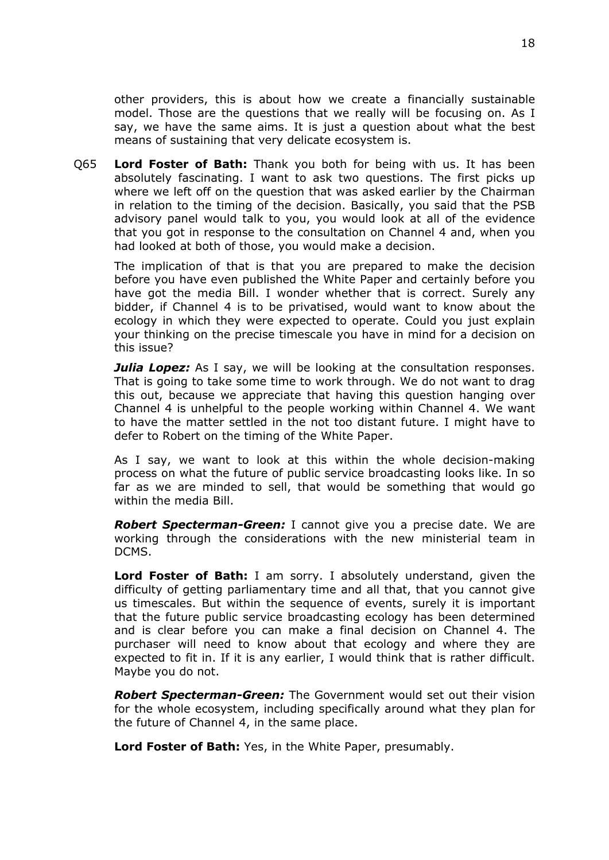other providers, this is about how we create a financially sustainable model. Those are the questions that we really will be focusing on. As I say, we have the same aims. It is just a question about what the best means of sustaining that very delicate ecosystem is.

Q65 **Lord Foster of Bath:** Thank you both for being with us. It has been absolutely fascinating. I want to ask two questions. The first picks up where we left off on the question that was asked earlier by the Chairman in relation to the timing of the decision. Basically, you said that the PSB advisory panel would talk to you, you would look at all of the evidence that you got in response to the consultation on Channel 4 and, when you had looked at both of those, you would make a decision.

The implication of that is that you are prepared to make the decision before you have even published the White Paper and certainly before you have got the media Bill. I wonder whether that is correct. Surely any bidder, if Channel 4 is to be privatised, would want to know about the ecology in which they were expected to operate. Could you just explain your thinking on the precise timescale you have in mind for a decision on this issue?

*Julia Lopez:* As I say, we will be looking at the consultation responses. That is going to take some time to work through. We do not want to drag this out, because we appreciate that having this question hanging over Channel 4 is unhelpful to the people working within Channel 4. We want to have the matter settled in the not too distant future. I might have to defer to Robert on the timing of the White Paper.

As I say, we want to look at this within the whole decision-making process on what the future of public service broadcasting looks like. In so far as we are minded to sell, that would be something that would go within the media Bill.

*Robert Specterman-Green:* I cannot give you a precise date. We are working through the considerations with the new ministerial team in DCMS.

**Lord Foster of Bath:** I am sorry. I absolutely understand, given the difficulty of getting parliamentary time and all that, that you cannot give us timescales. But within the sequence of events, surely it is important that the future public service broadcasting ecology has been determined and is clear before you can make a final decision on Channel 4. The purchaser will need to know about that ecology and where they are expected to fit in. If it is any earlier, I would think that is rather difficult. Maybe you do not.

*Robert Specterman-Green:* The Government would set out their vision for the whole ecosystem, including specifically around what they plan for the future of Channel 4, in the same place.

**Lord Foster of Bath:** Yes, in the White Paper, presumably.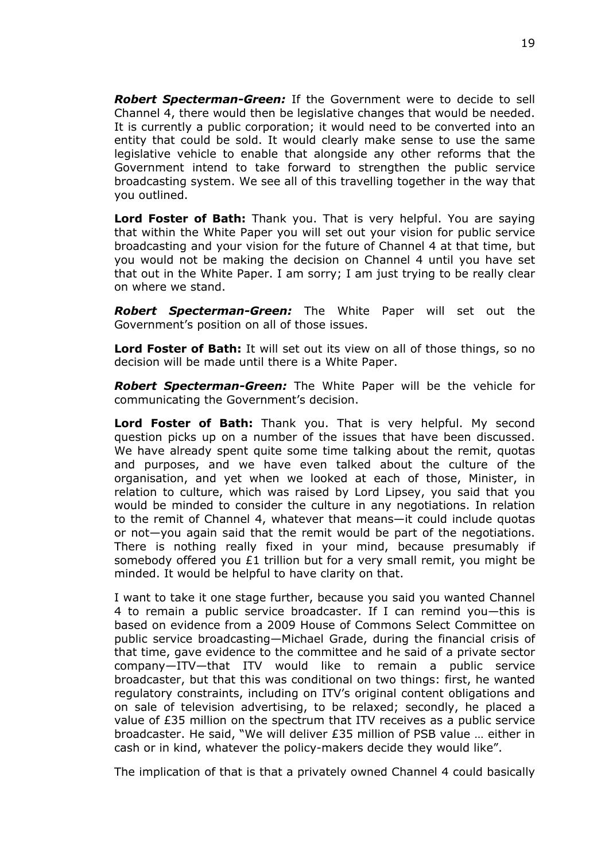*Robert Specterman-Green:* If the Government were to decide to sell Channel 4, there would then be legislative changes that would be needed. It is currently a public corporation; it would need to be converted into an entity that could be sold. It would clearly make sense to use the same legislative vehicle to enable that alongside any other reforms that the Government intend to take forward to strengthen the public service broadcasting system. We see all of this travelling together in the way that you outlined.

**Lord Foster of Bath:** Thank you. That is very helpful. You are saying that within the White Paper you will set out your vision for public service broadcasting and your vision for the future of Channel 4 at that time, but you would not be making the decision on Channel 4 until you have set that out in the White Paper. I am sorry; I am just trying to be really clear on where we stand.

*Robert Specterman-Green:* The White Paper will set out the Government's position on all of those issues.

**Lord Foster of Bath:** It will set out its view on all of those things, so no decision will be made until there is a White Paper.

*Robert Specterman-Green:* The White Paper will be the vehicle for communicating the Government's decision.

**Lord Foster of Bath:** Thank you. That is very helpful. My second question picks up on a number of the issues that have been discussed. We have already spent quite some time talking about the remit, quotas and purposes, and we have even talked about the culture of the organisation, and yet when we looked at each of those, Minister, in relation to culture, which was raised by Lord Lipsey, you said that you would be minded to consider the culture in any negotiations. In relation to the remit of Channel 4, whatever that means—it could include quotas or not—you again said that the remit would be part of the negotiations. There is nothing really fixed in your mind, because presumably if somebody offered you £1 trillion but for a very small remit, you might be minded. It would be helpful to have clarity on that.

I want to take it one stage further, because you said you wanted Channel 4 to remain a public service broadcaster. If I can remind you—this is based on evidence from a 2009 House of Commons Select Committee on public service broadcasting—Michael Grade, during the financial crisis of that time, gave evidence to the committee and he said of a private sector company—ITV—that ITV would like to remain a public service broadcaster, but that this was conditional on two things: first, he wanted regulatory constraints, including on ITV's original content obligations and on sale of television advertising, to be relaxed; secondly, he placed a value of £35 million on the spectrum that ITV receives as a public service broadcaster. He said, "We will deliver £35 million of PSB value … either in cash or in kind, whatever the policy-makers decide they would like".

The implication of that is that a privately owned Channel 4 could basically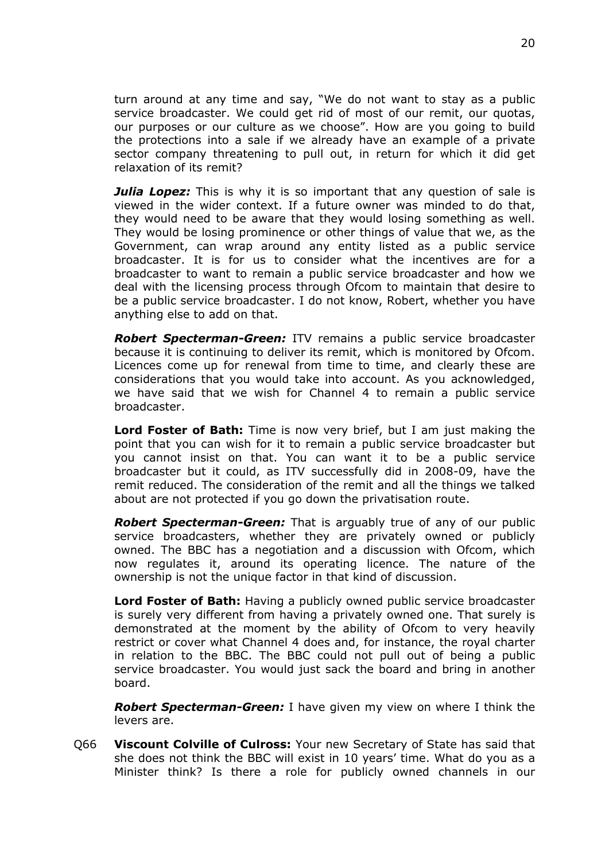turn around at any time and say, "We do not want to stay as a public service broadcaster. We could get rid of most of our remit, our quotas, our purposes or our culture as we choose". How are you going to build the protections into a sale if we already have an example of a private sector company threatening to pull out, in return for which it did get relaxation of its remit?

*Julia Lopez:* This is why it is so important that any question of sale is viewed in the wider context. If a future owner was minded to do that, they would need to be aware that they would losing something as well. They would be losing prominence or other things of value that we, as the Government, can wrap around any entity listed as a public service broadcaster. It is for us to consider what the incentives are for a broadcaster to want to remain a public service broadcaster and how we deal with the licensing process through Ofcom to maintain that desire to be a public service broadcaster. I do not know, Robert, whether you have anything else to add on that.

*Robert Specterman-Green:* ITV remains a public service broadcaster because it is continuing to deliver its remit, which is monitored by Ofcom. Licences come up for renewal from time to time, and clearly these are considerations that you would take into account. As you acknowledged, we have said that we wish for Channel 4 to remain a public service broadcaster.

**Lord Foster of Bath:** Time is now very brief, but I am just making the point that you can wish for it to remain a public service broadcaster but you cannot insist on that. You can want it to be a public service broadcaster but it could, as ITV successfully did in 2008-09, have the remit reduced. The consideration of the remit and all the things we talked about are not protected if you go down the privatisation route.

*Robert Specterman-Green:* That is arguably true of any of our public service broadcasters, whether they are privately owned or publicly owned. The BBC has a negotiation and a discussion with Ofcom, which now regulates it, around its operating licence. The nature of the ownership is not the unique factor in that kind of discussion.

**Lord Foster of Bath:** Having a publicly owned public service broadcaster is surely very different from having a privately owned one. That surely is demonstrated at the moment by the ability of Ofcom to very heavily restrict or cover what Channel 4 does and, for instance, the royal charter in relation to the BBC. The BBC could not pull out of being a public service broadcaster. You would just sack the board and bring in another board.

*Robert Specterman-Green:* I have given my view on where I think the levers are.

Q66 **Viscount Colville of Culross:** Your new Secretary of State has said that she does not think the BBC will exist in 10 years' time. What do you as a Minister think? Is there a role for publicly owned channels in our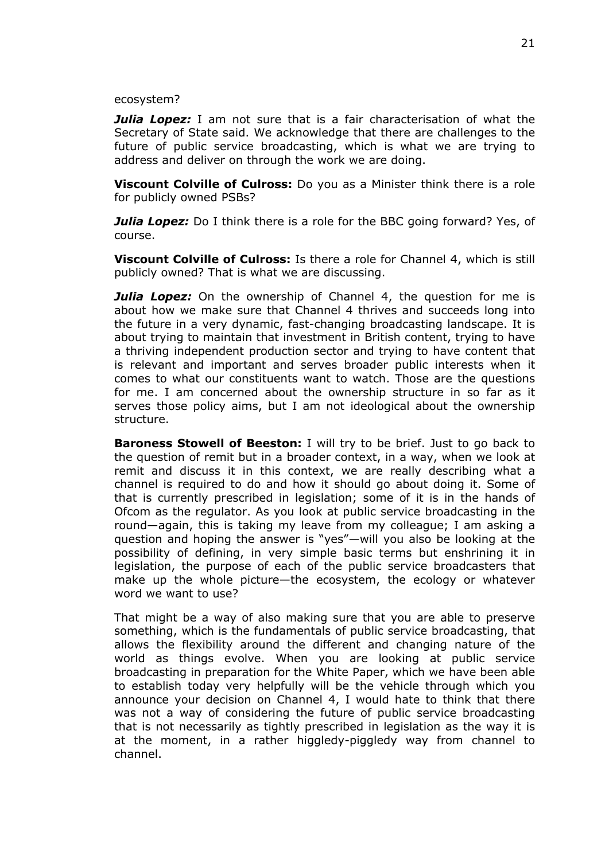## ecosystem?

*Julia Lopez:* I am not sure that is a fair characterisation of what the Secretary of State said. We acknowledge that there are challenges to the future of public service broadcasting, which is what we are trying to address and deliver on through the work we are doing.

**Viscount Colville of Culross:** Do you as a Minister think there is a role for publicly owned PSBs?

*Julia Lopez:* Do I think there is a role for the BBC going forward? Yes, of course.

**Viscount Colville of Culross:** Is there a role for Channel 4, which is still publicly owned? That is what we are discussing.

**Julia Lopez:** On the ownership of Channel 4, the question for me is about how we make sure that Channel 4 thrives and succeeds long into the future in a very dynamic, fast-changing broadcasting landscape. It is about trying to maintain that investment in British content, trying to have a thriving independent production sector and trying to have content that is relevant and important and serves broader public interests when it comes to what our constituents want to watch. Those are the questions for me. I am concerned about the ownership structure in so far as it serves those policy aims, but I am not ideological about the ownership structure.

**Baroness Stowell of Beeston:** I will try to be brief. Just to go back to the question of remit but in a broader context, in a way, when we look at remit and discuss it in this context, we are really describing what a channel is required to do and how it should go about doing it. Some of that is currently prescribed in legislation; some of it is in the hands of Ofcom as the regulator. As you look at public service broadcasting in the round—again, this is taking my leave from my colleague; I am asking a question and hoping the answer is "yes"—will you also be looking at the possibility of defining, in very simple basic terms but enshrining it in legislation, the purpose of each of the public service broadcasters that make up the whole picture—the ecosystem, the ecology or whatever word we want to use?

That might be a way of also making sure that you are able to preserve something, which is the fundamentals of public service broadcasting, that allows the flexibility around the different and changing nature of the world as things evolve. When you are looking at public service broadcasting in preparation for the White Paper, which we have been able to establish today very helpfully will be the vehicle through which you announce your decision on Channel 4, I would hate to think that there was not a way of considering the future of public service broadcasting that is not necessarily as tightly prescribed in legislation as the way it is at the moment, in a rather higgledy-piggledy way from channel to channel.